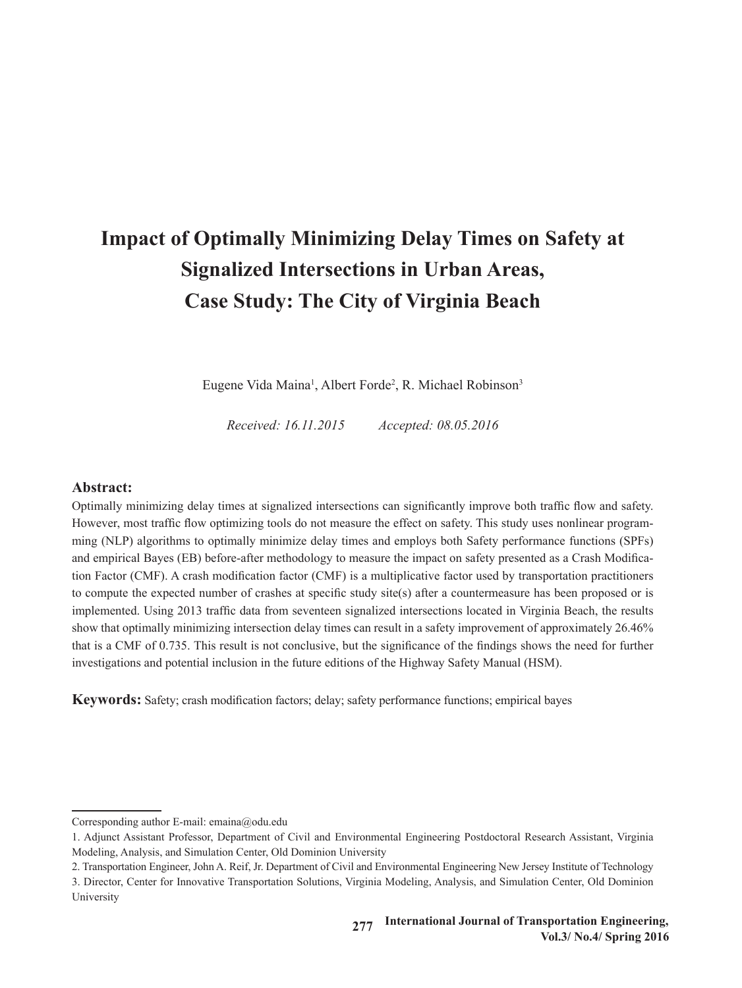# **Impact of Optimally Minimizing Delay Times on Safety at Signalized Intersections in Urban Areas, Case Study: The City of Virginia Beach**

Eugene Vida Maina<sup>1</sup>, Albert Forde<sup>2</sup>, R. Michael Robinson<sup>3</sup>

*Received: 16.11.2015 Accepted: 08.05.2016*

# **Abstract:**

Optimally minimizing delay times at signalized intersections can significantly improve both traffic flow and safety. However, most traffic flow optimizing tools do not measure the effect on safety. This study uses nonlinear programming (NLP) algorithms to optimally minimize delay times and employs both Safety performance functions (SPFs) and empirical Bayes (EB) before-after methodology to measure the impact on safety presented as a Crash Modification Factor (CMF). A crash modification factor (CMF) is a multiplicative factor used by transportation practitioners to compute the expected number of crashes at specific study site(s) after a countermeasure has been proposed or is implemented. Using 2013 traffic data from seventeen signalized intersections located in Virginia Beach, the results show that optimally minimizing intersection delay times can result in a safety improvement of approximately 26.46% that is a CMF of 0.735. This result is not conclusive, but the significance of the findings shows the need for further investigations and potential inclusion in the future editions of the Highway Safety Manual (HSM).

**Keywords:** Safety; crash modification factors; delay; safety performance functions; empirical bayes

Corresponding author E-mail: emaina@odu.edu

<sup>1</sup>. Adjunct Assistant Professor, Department of Civil and Environmental Engineering Postdoctoral Research Assistant, Virginia Modeling, Analysis, and Simulation Center, Old Dominion University

<sup>2</sup>. Transportation Engineer, John A. Reif, Jr. Department of Civil and Environmental Engineering New Jersey Institute of Technology

<sup>3</sup>. Director, Center for Innovative Transportation Solutions, Virginia Modeling, Analysis, and Simulation Center, Old Dominion University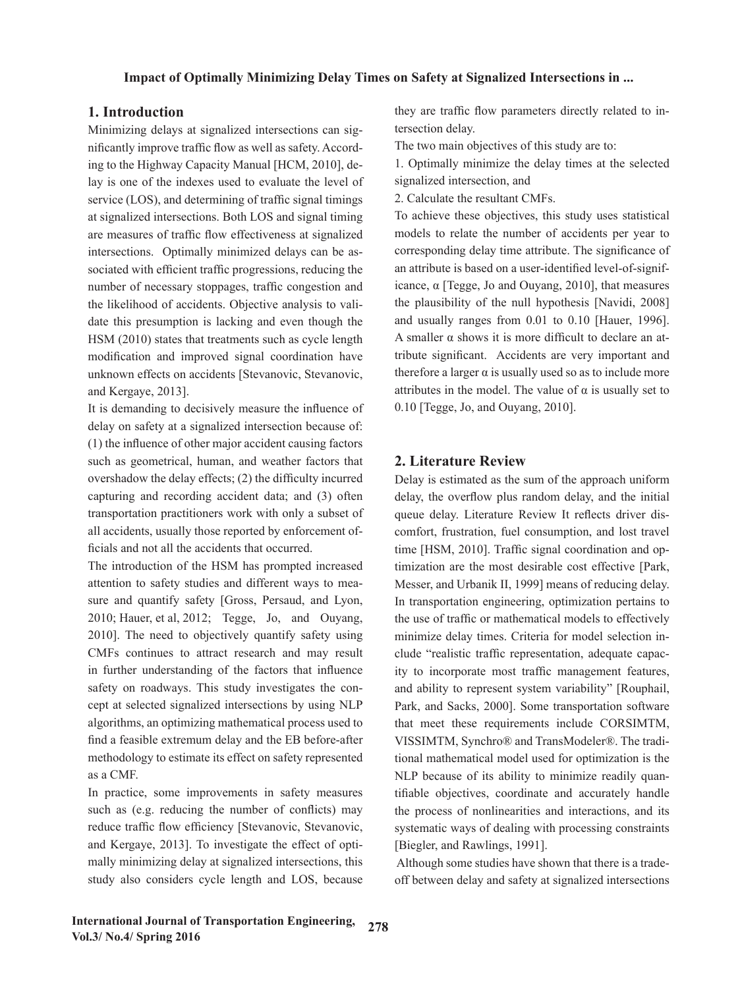# **1. Introduction**

Minimizing delays at signalized intersections can significantly improve traffic flow as well as safety. According to the Highway Capacity Manual [HCM, 2010], delay is one of the indexes used to evaluate the level of service (LOS), and determining of traffic signal timings at signalized intersections. Both LOS and signal timing are measures of traffic flow effectiveness at signalized intersections. Optimally minimized delays can be associated with efficient traffic progressions, reducing the number of necessary stoppages, traffic congestion and the likelihood of accidents. Objective analysis to validate this presumption is lacking and even though the HSM (2010) states that treatments such as cycle length modification and improved signal coordination have unknown effects on accidents [Stevanovic, Stevanovic, and Kergaye, 2013].

It is demanding to decisively measure the influence of delay on safety at a signalized intersection because of: (1) the influence of other major accident causing factors such as geometrical, human, and weather factors that overshadow the delay effects; (2) the difficulty incurred capturing and recording accident data; and (3) often transportation practitioners work with only a subset of all accidents, usually those reported by enforcement officials and not all the accidents that occurred.

The introduction of the HSM has prompted increased attention to safety studies and different ways to measure and quantify safety [Gross, Persaud, and Lyon, 2010; Hauer, et al, 2012; Tegge, Jo, and Ouyang, 2010]. The need to objectively quantify safety using CMFs continues to attract research and may result in further understanding of the factors that influence safety on roadways. This study investigates the concept at selected signalized intersections by using NLP algorithms, an optimizing mathematical process used to find a feasible extremum delay and the EB before-after methodology to estimate its effect on safety represented as a CMF.

In practice, some improvements in safety measures such as (e.g. reducing the number of conflicts) may reduce traffic flow efficiency [Stevanovic, Stevanovic, and Kergaye, 2013]. To investigate the effect of optimally minimizing delay at signalized intersections, this study also considers cycle length and LOS, because they are traffic flow parameters directly related to intersection delay.

The two main objectives of this study are to:

1. Optimally minimize the delay times at the selected signalized intersection, and

2. Calculate the resultant CMFs.

To achieve these objectives, this study uses statistical models to relate the number of accidents per year to corresponding delay time attribute. The significance of an attribute is based on a user-identified level-of-significance, α [Tegge, Jo and Ouyang, 2010], that measures the plausibility of the null hypothesis [Navidi, 2008] and usually ranges from 0.01 to 0.10 [Hauer, 1996]. A smaller  $\alpha$  shows it is more difficult to declare an attribute significant. Accidents are very important and therefore a larger  $\alpha$  is usually used so as to include more attributes in the model. The value of  $\alpha$  is usually set to 0.10 [Tegge, Jo, and Ouyang, 2010].

# **2. Literature Review**

Delay is estimated as the sum of the approach uniform delay, the overflow plus random delay, and the initial queue delay. Literature Review It reflects driver discomfort, frustration, fuel consumption, and lost travel time [HSM, 2010]. Traffic signal coordination and optimization are the most desirable cost effective [Park, Messer, and Urbanik II, 1999] means of reducing delay. In transportation engineering, optimization pertains to the use of traffic or mathematical models to effectively minimize delay times. Criteria for model selection include "realistic traffic representation, adequate capacity to incorporate most traffic management features, and ability to represent system variability" [Rouphail, Park, and Sacks, 2000]. Some transportation software that meet these requirements include CORSIMTM, VISSIMTM, Synchro® and TransModeler®. The traditional mathematical model used for optimization is the NLP because of its ability to minimize readily quantifiable objectives, coordinate and accurately handle the process of nonlinearities and interactions, and its systematic ways of dealing with processing constraints [Biegler, and Rawlings, 1991].

 Although some studies have shown that there is a tradeoff between delay and safety at signalized intersections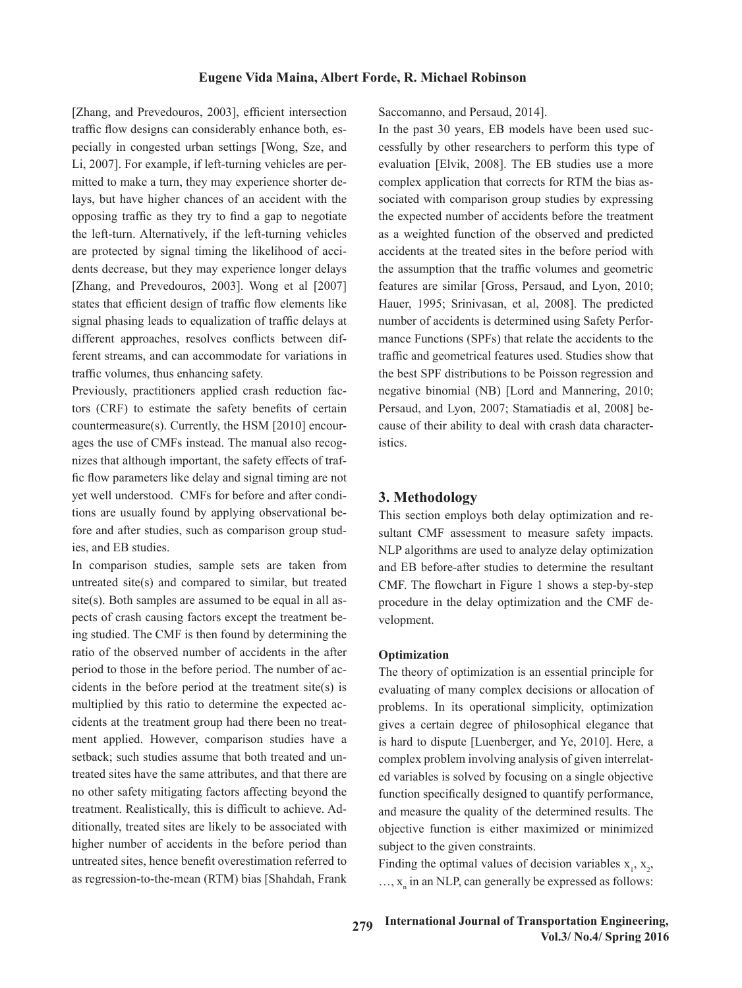[Zhang, and Prevedouros, 2003], efficient intersection traffic flow designs can considerably enhance both, especially in congested urban settings [Wong, Sze, and Li, 2007]. For example, if left-turning vehicles are permitted to make a turn, they may experience shorter delays, but have higher chances of an accident with the opposing traffic as they try to find a gap to negotiate the left-turn. Alternatively, if the left-turning vehicles are protected by signal timing the likelihood of accidents decrease, but they may experience longer delays [Zhang, and Prevedouros, 2003]. Wong et al [2007] states that efficient design of traffic flow elements like signal phasing leads to equalization of traffic delays at different approaches, resolves conflicts between different streams, and can accommodate for variations in traffic volumes, thus enhancing safety.

Previously, practitioners applied crash reduction factors (CRF) to estimate the safety benefits of certain countermeasure(s). Currently, the HSM [2010] encourages the use of CMFs instead. The manual also recognizes that although important, the safety effects of traffic flow parameters like delay and signal timing are not yet well understood. CMFs for before and after conditions are usually found by applying observational before and after studies, such as comparison group studies, and EB studies.

In comparison studies, sample sets are taken from untreated site(s) and compared to similar, but treated site(s). Both samples are assumed to be equal in all aspects of crash causing factors except the treatment being studied. The CMF is then found by determining the ratio of the observed number of accidents in the after period to those in the before period. The number of accidents in the before period at the treatment site(s) is multiplied by this ratio to determine the expected accidents at the treatment group had there been no treatment applied. However, comparison studies have a setback; such studies assume that both treated and untreated sites have the same attributes, and that there are no other safety mitigating factors affecting beyond the treatment. Realistically, this is difficult to achieve. Additionally, treated sites are likely to be associated with higher number of accidents in the before period than untreated sites, hence benefit overestimation referred to as regression-to-the-mean (RTM) bias [Shahdah, Frank Saccomanno, and Persaud, 2014].

In the past 30 years, EB models have been used successfully by other researchers to perform this type of evaluation [Elvik, 2008]. The EB studies use a more complex application that corrects for RTM the bias associated with comparison group studies by expressing the expected number of accidents before the treatment as a weighted function of the observed and predicted accidents at the treated sites in the before period with the assumption that the traffic volumes and geometric features are similar [Gross, Persaud, and Lyon, 2010; Hauer, 1995; Srinivasan, et al, 2008]. The predicted number of accidents is determined using Safety Performance Functions (SPFs) that relate the accidents to the traffic and geometrical features used. Studies show that the best SPF distributions to be Poisson regression and negative binomial (NB) [Lord and Mannering, 2010; Persaud, and Lyon, 2007; Stamatiadis et al, 2008] because of their ability to deal with crash data characteristics.

# **3. Methodology**

This section employs both delay optimization and resultant CMF assessment to measure safety impacts. NLP algorithms are used to analyze delay optimization and EB before-after studies to determine the resultant CMF. The flowchart in Figure 1 shows a step-by-step procedure in the delay optimization and the CMF development.

#### **Optimization**

The theory of optimization is an essential principle for evaluating of many complex decisions or allocation of problems. In its operational simplicity, optimization gives a certain degree of philosophical elegance that is hard to dispute [Luenberger, and Ye, 2010]. Here, a complex problem involving analysis of given interrelated variables is solved by focusing on a single objective function specifically designed to quantify performance, and measure the quality of the determined results. The objective function is either maximized or minimized subject to the given constraints.

Finding the optimal values of decision variables  $x_1, x_2,$  $..., x_n$  in an NLP, can generally be expressed as follows: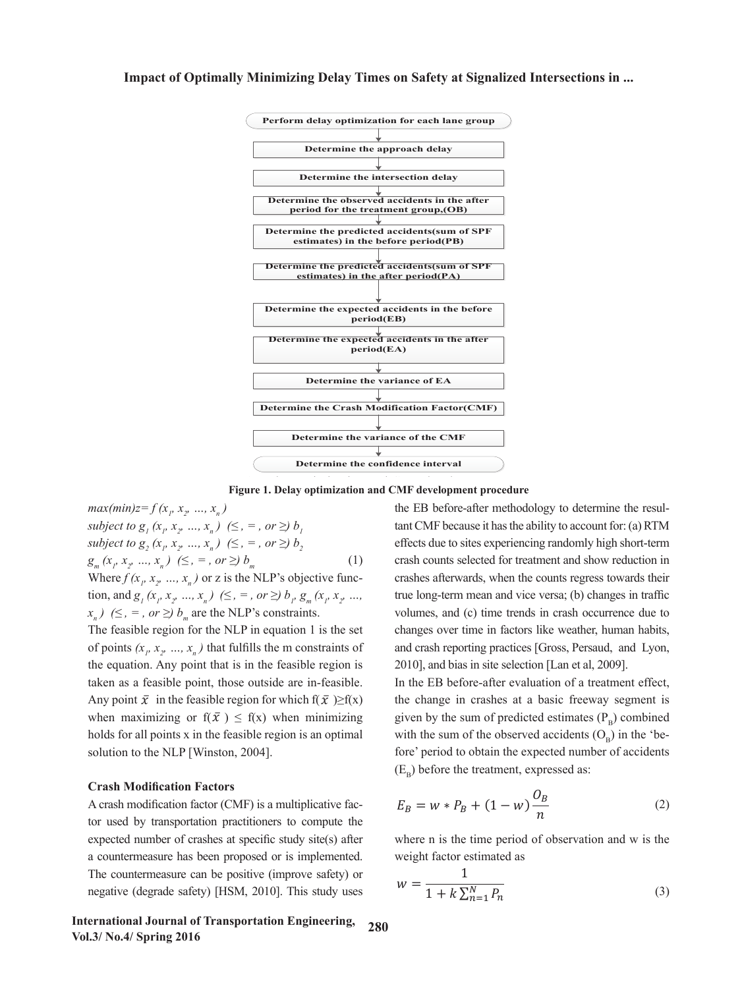

Figure 1. Delay optimization and CMF development procedure

 $max(min)z = f(x_1, x_2, ..., x_n)$  $subject to g_1(x_1, x_2, ..., x_n) \ (s_n, s_n, ..., s_n) \ (s_n, s_n) \ (s_n, s_n)$ *subject to g<sub>2</sub>* ( $x_p, x_p, ..., x_n$ ) ( $\leq$ ,  $=$ , *or*  $\geq$ )  $b_2$  $g_m(x_p, x_p, ..., x_n) \leq, =, or \geq b_m$  (1) Where  $f(x_1, x_2, ..., x_n)$  or z is the NLP's objective function, and  $g_1(x_p, x_p, ..., x_n) \leq 0$ ,  $\Rightarrow$  or  $\geq 0$   $h_p g_m(x_p, x_p, ...,$  true long-term subject to  $g_2(x_p, x_p, ..., x_n)$   $(\leq, =, or \geq) b_2$  effects due to sites experiencing randomly high short-term  $(\square, \square, \square, \square, \square)$  $g_m(x_p, x_p, ..., x_n)$  ( $\leq$ ,  $\leq$ , or  $\geq$ )  $o_m$  (1) crash counts selected for treatment and show reduction in<br>Where  $f(x_1, x_2, ..., x_n)$  or z is the NLP's objective func-<br>crashes afterwards when the counts regress towards their  $g_m(x_1, x_2, ..., x_n)$   $(\leq, =, \text{ or } \geq)$   $b_m$  (1) crash counts selected for treatment and show reduction in tion, and  $g_1(x_p, x_p, ..., x_n)$  ( $\leq$ ,  $=$ , or  $\geq$ )  $b_p$ ,  $g_m(x_p, x_p, ...,$  true long-term mean and vice versa; (b) changes in traffic

The feasible region for the NLP in equation 1 is the set changes over time in factors like weat of points  $(x_p, x_p, ..., x_n)$  that fulfills the m constraints of and crash reporting practices [Gross, Persaud, and Ly the equation. Any point that is in the feasible region is 2010], and bias in site selection [Lan et taken as a feasible point, those outside are in-feasible. In the EB before-after evaluation of a treatment eff Any point  $\bar{x}$  in the feasible region for which  $f(\bar{x}) \ge f(x)$  the change in crashes at a basic freeway segmen when maximizing or  $f(\bar{x}) \le f(x)$  when minimizing given by the sum of predicted estimate  $\mathbb{R}$  $\frac{1}{2}$  and the sense of the EB before-after evaluation of a treatment effect, when maximizing or  $f(\bar{x}) \leq f(x)$  when minimizing given by the sum of predicted estimates (P<sub>B</sub>) combined  $h$ olds for all points x in the feasible region is an optimal with the sum of holds for all points x in the feasible region is an optimal with the sum of the observed accidents  $(O_B)$  in the 'besolution to the NLP [Winston, 2004]. asion region is an op

# $\frac{1}{2}$  Crash Modification Factors

A crash modification factor (CMF) is a multiplicative fac- $\frac{1}{n}$  tor used by transportation practitioners to compute the  $\frac{1}{n}$ expected number of crashes at specific study site(s) after where n is the time period of observation and w is the a countermeasure has been proposed or is implemented. Weight factor estimated as In the countermeasure can be positive (improve safety) or all points *x* in the feature region is an optimal solution to the number of  $\frac{1}{2}$ negative (degrade safety) [HSM, 2010]. This study uses The countermeasure

 $f(x_n)$  ( $\leq$ ,  $\leq$ , or  $\geq$ )  $b_m$  are the NLP's constraints. volumes, and (c) time trends in crass  $\int \int_{\mathcal{B}_I} f(x_i, x_j, ..., x_n)$  ( $\leq$ ,  $=$ , or  $\geq$ )  $b_i$  and CMF because it has the ability to account for: (a) RTM P's objective func-<br>
crashes afterwards, when the counts regress towards their the NLP's constraints. volumes, and (c) time trends in crash occurrence due to the NLP's constraints.  $v_m$  are the NLP in equation 1 is the set changes over time in factors like weather, human habits, t that is in the feasible region is 2010], and bias in site selection [Lan et al, 2009]. the EB before-after methodology to determine the resulthat fulfills the m constraints of and crash reporting practices [Gross, Persaud, and Lyon,  $\frac{1}{2}$  and  $\frac{1}{2}$  before-after methodology to determine the resultant control because it is determined the resultant CMF because it is a set of  $\frac{1}{2}$  because it is a set of  $\frac{1}{2}$  because it is a set of  $\frac{1$  $F, \text{ or } \leq f \circ \lim_{m \to \infty} \text{ and the real solution is } \lim_{m \to \infty} \lim_{m \to \infty} \lim_{m \to \infty} \lim_{m \to \infty} \lim_{m \to \infty} \lim_{m \to \infty} \lim_{m \to \infty} \lim_{m \to \infty} \lim_{m \to \infty} \lim_{m \to \infty} \lim_{m \to \infty} \lim_{m \to \infty} \lim_{m \to \infty} \lim_{m \to \infty} \lim_{m \to \infty} \lim_{m \to \infty} \lim_{m \to \infty} \lim_{m \to \infty} \lim_{m \to \in$ 

> the distribution of a determinant effect.<br>
> The change in crashes at a basic freeway segment is<br>
> detailed to which  $f(\bar{x}) \ge f(x)$  the change in crashes at a basic freeway segment is inston, 2004]. fore' period to obtain the expected number of accidents  $(E_B)$  before the treatment, expressed as:  $\text{Euler}$  is sible region for which  $f(\bar{x}) \ge f(x)$  the change in crashes at a basic freeway segment is  $[0.2004]$ .<br>( $\overline{E}$ )  $\overline{E}$  before the treatment expressed as:

$$
E_B = w * P_B + (1 - w) \frac{O_B}{n}
$$
 (2)

shes at specific study site(s) after where n is the time period of observation and w is the weight factor estimated as

$$
w = \frac{1}{1 + k \sum_{n=1}^{N} P_n}
$$
 (3)

International Journal of Transportation Engineering,  $280$ **Vol.3/ No.4/ Spring 2016** where  $\mathbf{F}_{\text{in}}$  is the dispersion parameter of the NB distribution that is assumed for the crash counts used in the crash counts used in the crash counts used in the crash counts used in the crash counts used in the cr esportation Engineering,  $280$ estimating the SPF, and *Pn* is the predicted number of accidents for period of time *n*. *k* is estimated from the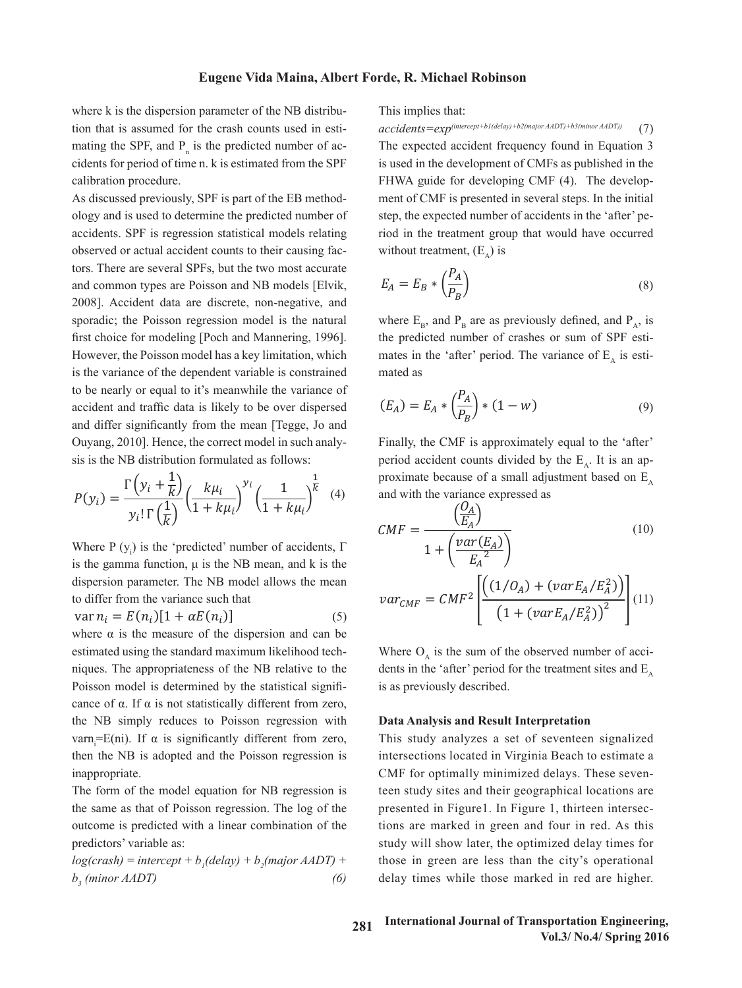where k is the dispersion parameter of the NB distribu-<br>This implies that: tion that is assumed for the crash counts used in esti-<br> $accidents = exp^{(intercept + b/(delay) + b2(mp) + b2(mp))}$ mating the SPF, and P<sub>n</sub> is the predicted number of ac-<br>The expected accident cidents for period of time n. k is estimated from the SPF exploration procedure. where k is the dispersion parameter of the NB distribu-<br>I his implies that: tion that is assumed for the crash counts used in esti-<br>accidents= $exp^{(intercept+bl)}$ 

As discussed previously, SPF is part of the EB method-<br>method of observation and *w* is the weight of observation and *w* is the weight of weight factor estimated as the weight of the weight of the weight of the weight of As discussed previously, SFF is part of the EB inethod-<br>ology and is used to determine the predicted number of step, the expected nu accidents. SPF is regression statistical models relating<br>observed or actual accident counts to their causing facobserved or actual accident counts to their causing fac-<br>
1
without treatment tors. There are several SPFs, but the two most accurate  $\binom{P_A}{A}$ and common types are Poisson and NB models [Elvik,  $E_A = E_B * (\frac{P_A}{P_B})$  (8) and common types are I offsom and TO models pervine,  $\begin{array}{ccc} -A & -B & (P_B) \\ -B & (P_B) \end{array}$ sporadic; the Poisson regression model is the natural where  $E_B$ , and  $P_B$  are as previo first choice for modeling [Poch and Mannering, 1996]. the predicted number of crash However, the Poisson model has a key limitation, which mates in the 'after' period. The is the variance of the dependent variable is constrained mated as to be nearly or equal to it's meanwhile the variance of  $(P_4)$ accident and traffic data is likely to be over dispersed  $(E_A) = E_A * \left(\frac{P_A}{P}\right) * (1 - w)$  (9) and differ significantly from the mean [Tegge, Jo and  $(P_B)$ Ouyang, 2010]. Hence, the correct model in such analy-<br>Finally, the CMF is approxima sis is the NB distribution formulated as follows: distribution formulated as follows:  $2000$ SPF is part of the E 2008]. Accident data are discrete, non-negative, and and differ significantly from the mean [Tegge, Jo and with the variable is an approximate because of a small adjustment based on  $\frac{1}{2}$  and with the variance expressed as  $\frac{1}{2}$  and with the variance expressed as  $\$ Ouyang, 2010]. Hence, the correct model in such analy-<br>Finally, the CMF is ap from the mean is the mean accident counts are model in such an accident counts in such an are  $\frac{1}{2}$  is the NB distribution formulated as follows:  $\mathcal{L}$ this  $\mathbf{FD}$  is sthead. published in the FHWA guide for developing CMF is presented in several development of CMF is presented in several of  $\frac{1}{N}$ estimates in the 'after' period. The variance of *EA* is estimated as

$$
P(y_i) = \frac{\Gamma\left(y_i + \frac{1}{k}\right)}{y_i! \Gamma\left(\frac{1}{k}\right)} \left(\frac{k\mu_i}{1 + k\mu_i}\right)^{y_i} \left(\frac{1}{1 + k\mu_i}\right)^{\frac{1}{k}} \tag{4}
$$

Where P (y<sub>i</sub>) is the 'predicted' number of accidents, Γ  $\frac{UMF}{1 + \left(\frac{var(E_A)}{F^2}\right)}$ where  $f(y_i)$  is the predicted number of accidents,  $f = 1 + (-1)^i$  is the gamma function,  $\mu$  is the NB mean, and k is the dispersion parameter. The NB model allows the mean<br>to differ from the variance such that  $1297_{\text{max}} = CME^2 \left[ \left( \frac{(1/O_A)^2}{(1/O_A)^2} \right)$ to differ from the variance such that  $var_{CMF} = CMF^2 \left[ \frac{(1.1 \times 10^{-14} \text{ J})}{2} \right] (11)$ dispersion parameter. The NB model allows the mean  $t_0$  differ from the variance such that

$$
var n_i = E(n_i)[1 + \alpha E(n_i)] \tag{5}
$$

where  $\alpha$  is the measure of the dispersion and can be estimated using the standard maximum likelihood tech-<br>Where  $O_{\alpha}$  is the sum of the ob techniques. The appropriateness of the NB relative to the  $\frac{M}{R}$  dents in the 'after' period for the  $\frac{M}{R}$  $r_{\text{noise}}$ cance of  $\alpha$ . If  $\alpha$  is not statistically different from zero, Lance of  $\alpha$ , if  $\alpha$  is not statistically different from 2010, niques. The appropriateness of the NB relative to the dents in the 'after' peri Poisson model is determined by the statistical signifi-<br>same of a H a is not determined by the statistical signifi-<br>same of a H a is not determined by the statistical signifithe NB simply reduces to Poisson regression with **Data Analysis and Re** varn<sub>i</sub>=E(ni). If α is significantly different from zero, T then the NB is adopted and the Poisson regression is inappropriate.  $p_1$  is the marked in Figure 1, the marked in the marked in and four in and four in red. As the marked in  $r_1$  is and four in red. As the marked in red. As the marked in red. As the marked in red. As the mathematical in ices to Poisson regression with **Data Analysis and Result Interpretation This study and Result intersections located in Virginia Beach to estimate a set of seventeen signalized in Virginia Beach to estimate a set of seventeen signals and Result Interpretational Beach to estimate a set of seven**  $\mathbf{C}$  for optimal  $\mathbf{C}$  second delays. The second study sites and  $\mathbf{D}$  and  $\mathbf{L}$  decographical locations are  $\mathbf{D}$ to Poisson regression with **Data Analysis and Result Interpretation** *EX* is a previously described. statistical signifi-<br>is as previously described.  $\frac{1}{2}$  study analyzes a set of seventeen signalized intersections located in  $\frac{1}{2}$ 

> The form of the model equation for NB regression is the same as that of Poisson regression. The log of the outcome is predicted with a linear combination of the predictors' variable as:

> $log(crash) = intercept + b<sub>1</sub>(delay) + b<sub>2</sub>(major AADT) +$  $b_3$  (minor *AADT*) (6)

This implies that:

FHWA guide for developing CMF (4). The developnt counts to their causing fac-<br>without treatment,  $(E_A)$  is *accidents=exp(intercept+b1(delay)+b2(major AADT)+b3(minor AADT)*) (7)<br>he crash counts used in esti-<br> $accidents = exp^{(intercept+bl(delay)+b2(major AADT)+b3(minor AADT))}$  (7)  $\Gamma$  predicted number of ac-<br>The expected accident frequency found in Equation 3 from the SPF is used in the development of CMFs as published in the is part of the EB method-<br>ment of CMF is presented in several steps. In the initial step, the expected number of accidents in the 'after' pe-<br>determine the predicted number of step, the expected number of accidents in the 'after' peression statistical models relating riod in the treatment group that would have occurred step, the expected number of accidents in the 'after' pe- $\sin \theta$  fac-<br>without treatment.  $(E_n)$  is

We must accurate  
AB models [Elvik, 
$$
E_A = E_B * \left(\frac{P_A}{P_B}\right)
$$
 (8)

is the natural where  $E_B$ , and  $P_B$  are as previously defined, and  $P_A$ , is  $n = 1$ ed mated as Froch and Mannering, 1990]. The predicted number of crassies or sum of SFF esti-<br>del has a key limitation, which mates in the 'after' period. The variance of  $E_A$  is esti-<br>endent variable is constrained the predicted number of crashes or sum of SPF esti- $\frac{1}{2}$ e as previously defined, and  $P_A$ , is  $\mu$  predicted  $\mu$  ( $\alpha$ ) mber of crashes or sum of SPF estiwhere *EB*, and *PBB* are as previously defined, and *PA*, is the predicted number of  $\frac{1}{2}$ 

$$
(E_A) = E_A * \left(\frac{P_A}{P_B}\right) * (1 - w) \tag{9}
$$

 $h_{11}$ ,  $y_i$ ,  $y_i$ ,  $y_i$ ,  $y_i$ ,  $y_i$ ,  $y_i$ ,  $y_i$ ,  $y_i$ ,  $y_i$ ,  $y_i$ ,  $y_i$ ,  $y_i$ ,  $y_i$ ,  $y_i$ ,  $y_i$ ,  $y_i$ ,  $y_i$ ,  $y_i$ ,  $y_i$ ,  $y_i$ ,  $y_i$ ,  $y_i$ ,  $y_i$ ,  $y_i$ ,  $y_i$ ,  $y_i$ ,  $y_i$ ,  $y_i$ ,  $y_i$ ,  $y_i$ ,  $y_i$ ,  $y_i$ ,  $y_i$ ,  $y_i$ ,  $y_i$ ,  $y$ er<br>dent formulated as follows: period accident counts divided by the  $E_A$ . It is an approximately proposed to provide the set of a small editor and the set of  $E_A$ . with the variance expressed as<br>  $(0_A)$ nean [regge, Jo and<br>model in such analy-<br>Finally, the CMF is approximately equal to the 'after' and with the variance expressed as  $\langle O_4 \rangle$ Figure 2.1 the CMF is a period accident counts divided by the F<sub>R</sub> It is an an- $\frac{1}{\sqrt{1-\frac{1}{\sqrt{1-\lambda^2}}}$  and  $\frac{1}{\sqrt{1-\lambda^2}}$  and  $\frac{1}{\sqrt{1-\lambda^2}}$  and  $\frac{1}{\sqrt{1-\lambda^2}}$  and  $\frac{1}{\sqrt{1-\lambda^2}}$  are  $\frac{1}{\sqrt{1-\lambda^2}}$  and  $\frac{1}{\sqrt{1-\lambda^2}}$  are  $\frac{1}{\sqrt{1-\lambda^2}}$  and  $\frac{1}{\sqrt{1-\lambda^2}}$  are  $\frac{1}{\sqrt{1-\lambda^2}}$  and  $\$ 

$$
CMF = \frac{\left(\frac{O_A}{E_A}\right)}{1 + \left(\frac{var(E_A)}{E_A^2}\right)}
$$
\n(10)

\nmean

\n(5)

\n
$$
var_{CMF} = CMF^2 \left[ \frac{\left(\frac{1}{O_A} + \frac{var(E_A)}{E_A^2}\right)}{\left(1 + \frac{var(E_A/E_A^2)}{E_A^2}\right)^2} \right]
$$
\n(11)

\n(12)

the Supersection study in the set of the treatment sites and  $E_A$ ard maximum likelihood tech-<br> $V_A$  is the sum of the observed number of accim likelihood tech-<br>Where  $O_A$  is the sum of the observed number of acci-

significantly different from zero, This study analyzes a set of seventeen signalized and the Poisson regression is intersections located in Virginia Beach to estimate a CMF for optimally minimized delays. These sevenequation for NB regression is teen study sites and their geographical locations are presented in Figure 1. In Figure 1, thirteen intersections are negression. The log of the presented in Figure 1. In Figure 1, thirteen intersections are marked in green and four in red. As this study will show later, the optimized delay times for those in green are less than the city's operational delay times while those marked in red are higher.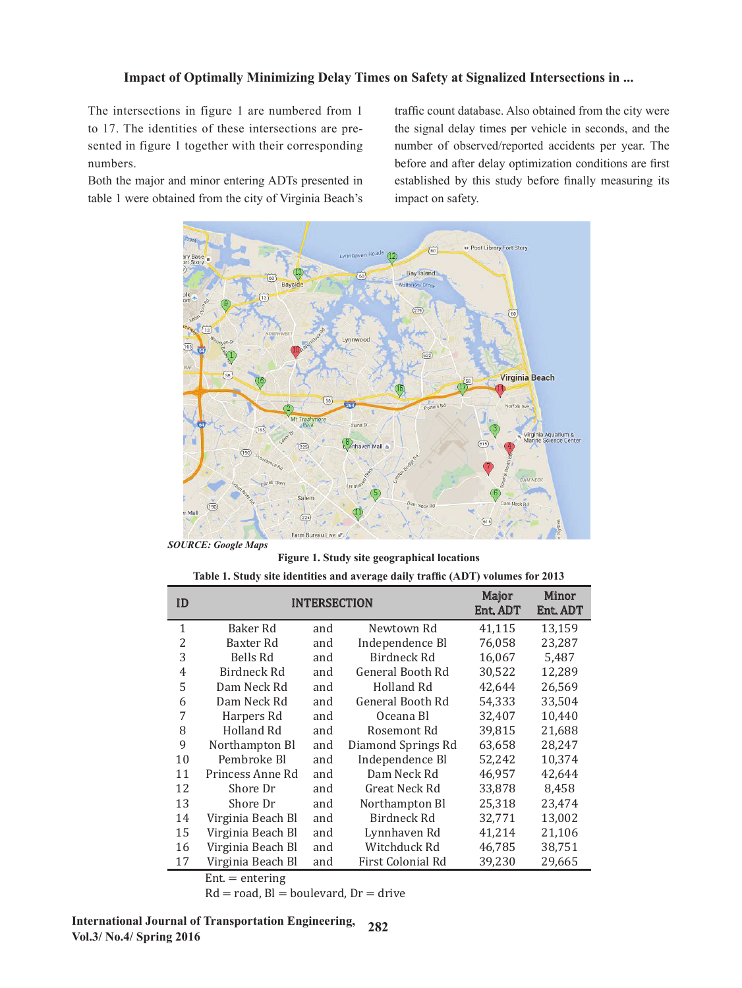The intersections in figure 1 are numbered from 1 to 17. The identities of these intersections are presented in figure 1 together with their corresponding numbers.

Both the major and minor entering ADTs presented in table 1 were obtained from the city of Virginia Beach's

traffic count database. Also obtained from the city were the signal delay times per vehicle in seconds, and the number of observed/reported accidents per year. The before and after delay optimization conditions are first established by this study before finally measuring its impact on safety.



 *SOURCE: Google Maps* 

Figure 1. Study site geographical locations<br>
Table 1. Study site geographical locations

|  |  | Table 1. Study site identities and average daily traffic (ADT) volumes for 2013 |  |  |  |  |  |
|--|--|---------------------------------------------------------------------------------|--|--|--|--|--|
|--|--|---------------------------------------------------------------------------------|--|--|--|--|--|

| ID | <b>INTERSECTION</b> | Major<br><b>Ent. ADT</b> | Minor<br>Ent. ADT  |        |        |
|----|---------------------|--------------------------|--------------------|--------|--------|
| 1  | Baker Rd            | and                      | Newtown Rd         | 41,115 | 13,159 |
| 2  | Baxter Rd           | and                      | Independence Bl    | 76,058 | 23,287 |
| 3  | Bells Rd            | and                      | Birdneck Rd        | 16,067 | 5,487  |
| 4  | Birdneck Rd         | and                      | General Booth Rd   | 30,522 | 12,289 |
| 5  | Dam Neck Rd         | and                      | Holland Rd         | 42,644 | 26,569 |
| 6  | Dam Neck Rd         | and                      | General Booth Rd   | 54,333 | 33,504 |
| 7  | Harpers Rd          | and                      | Oceana Bl          | 32,407 | 10,440 |
| 8  | Holland Rd          | and                      | Rosemont Rd        | 39,815 | 21,688 |
| 9  | Northampton Bl      | and                      | Diamond Springs Rd | 63,658 | 28,247 |
| 10 | Pembroke Bl         | and                      | Independence Bl    | 52,242 | 10,374 |
| 11 | Princess Anne Rd    | and                      | Dam Neck Rd        | 46,957 | 42,644 |
| 12 | Shore Dr            | and                      | Great Neck Rd      | 33,878 | 8,458  |
| 13 | Shore Dr            | and                      | Northampton Bl     | 25,318 | 23,474 |
| 14 | Virginia Beach Bl   | and                      | Birdneck Rd        | 32,771 | 13,002 |
| 15 | Virginia Beach Bl   | and                      | Lynnhaven Rd       | 41,214 | 21,106 |
| 16 | Virginia Beach Bl   | and                      | Witchduck Rd       | 46,785 | 38,751 |
| 17 | Virginia Beach Bl   | and                      | First Colonial Rd  | 39,230 | 29,665 |
|    | $Ent =$ entering    |                          |                    |        |        |

 $Rd = road, B1 = boulevard, Dr = drive$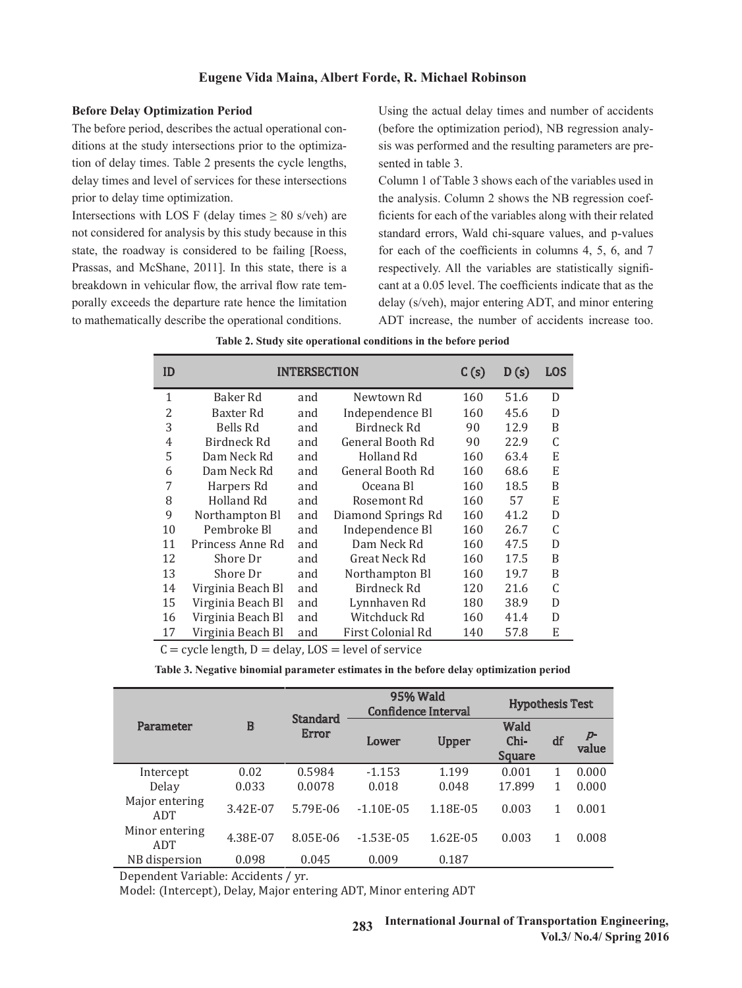### **Eugene Vida Maina, Albert Forde, R. Michael Robinson**

#### **Before Delay Optimization Period**

The before period, describes the actual operational conditions at the study intersections prior to the optimization of delay times. Table 2 presents the cycle lengths, sented in table 3. delay times and level of services for these intersections prior to delay time optimization.

Intersections with LOS F (delay times  $\geq 80$  s/veh) are not considered for analysis by this study because in this state, the roadway is considered to be failing [Roess, Prassas, and McShane, 2011]. In this state, there is a breakdown in vehicular flow, the arrival flow rate temporally exceeds the departure rate hence the limitation delay (s/veh), major entering ADT, to mathematically describe the operational conditions.  $\frac{1}{2}$  and the complete the detection of the control of  $\frac{1}{2}$  and  $\frac{1}{2}$  and  $\frac{1}{2}$  and  $\frac{1}{2}$  and  $\frac{1}{2}$  and  $\frac{1}{2}$  and  $\frac{1}{2}$  and  $\frac{1}{2}$  and  $\frac{1}{2}$  and  $\frac{1}{2}$  and  $\frac{1}{2}$  and  $\frac{1}{2}$ 

Using the actual delay times and number of accidents (before the optimization period), NB regression analyt the study intersections prior to the optimiza-<br>sis was performed and the resulting parameters are presented in table 3.

Column 1 of Table 3 shows each of the variables used in the analysis. Column 2 shows the NB regression coef- $\overline{F}$  (delay times  $\geq 80$  s/veh) are ficients for each of the variables along with their related standard errors, Wald chi-square values, and p-values is considered to be failing [Roess, for each of the coefficients in columns 4, 5, 6, and 7 and McShane, 2011]. In this state, there is a respectively. All the variables are statistically significant at a 0.05 level. The coefficients indicate that as the branched in vehicular flow, the arrival flow rate tem-<br>The coefficients indicate that as the delay (s/veh), major entering ADT, and minor entering ADT increase, the number of accidents increase too.

| ID             |                   |     | <b>INTERSECTION</b> | C(s) | D(s) | <b>LOS</b>   |
|----------------|-------------------|-----|---------------------|------|------|--------------|
| 1              | Baker Rd          | and | Newtown Rd          | 160  | 51.6 | D            |
| 2              | Baxter Rd         | and | Independence Bl     | 160  | 45.6 | D            |
| 3              | Bells Rd          | and | Birdneck Rd         | 90   | 12.9 | B            |
| $\overline{4}$ | Birdneck Rd       | and | General Booth Rd    | 90   | 22.9 | $\mathsf C$  |
| 5              | Dam Neck Rd       | and | Holland Rd          | 160  | 63.4 | E            |
| 6              | Dam Neck Rd       | and | General Booth Rd    | 160  | 68.6 | ${\bf E}$    |
| 7              | Harpers Rd        | and | Oceana Bl           | 160  | 18.5 | $\, {\bf B}$ |
| 8              | Holland Rd        | and | Rosemont Rd         | 160  | 57   | E            |
| 9              | Northampton Bl    | and | Diamond Springs Rd  | 160  | 41.2 | D            |
| 10             | Pembroke Bl       | and | Independence Bl     | 160  | 26.7 | $\mathsf C$  |
| 11             | Princess Anne Rd  | and | Dam Neck Rd         | 160  | 47.5 | D            |
| 12             | Shore Dr          | and | Great Neck Rd       | 160  | 17.5 | $\, {\bf B}$ |
| 13             | Shore Dr          | and | Northampton Bl      | 160  | 19.7 | B            |
| 14             | Virginia Beach Bl | and | Birdneck Rd         | 120  | 21.6 | C            |
| 15             | Virginia Beach Bl | and | Lynnhaven Rd        | 180  | 38.9 | D            |
| 16             | Virginia Beach Bl | and | Witchduck Rd        | 160  | 41.4 | D            |
| 17             | Virginia Beach Bl | and | First Colonial Rd   | 140  | 57.8 | E            |

**Table 2. Study site operational conditions in the before period** 

 $C =$  cycle length,  $D =$  delay,  $LOS =$  level of service

|                       |          |                          | 95% Wald<br>Confidence Interval |              | <b>Hypothesis Test</b>               |    |            |
|-----------------------|----------|--------------------------|---------------------------------|--------------|--------------------------------------|----|------------|
| Parameter             | $\bf{B}$ | <b>Standard</b><br>Error | Lower                           | <b>Upper</b> | <b>Wald</b><br>Chi-<br><b>Square</b> | df | p<br>value |
| Intercept             | 0.02     | 0.5984                   | $-1.153$                        | 1.199        | 0.001                                | 1  | 0.000      |
| Delay                 | 0.033    | 0.0078                   | 0.018                           | 0.048        | 17.899                               | 1  | 0.000      |
| Major entering<br>ADT | 3.42E-07 | 5.79E-06                 | $-1.10E-0.5$                    | 1.18E-05     | 0.003                                |    | 0.001      |
| Minor entering<br>ADT | 4.38E-07 | 8.05E-06                 | $-1.53E-05$                     | 1.62E-05     | 0.003                                |    | 0.008      |
| NB dispersion         | 0.098    | 0.045                    | 0.009                           | 0.187        |                                      |    |            |

Table 3. Negative binomial parameter estimates in the before delay optimization period **Table 3. Negative binomial parameter estimates in the before delay optimization period**

Dependent Variable: Accidents / yr.

Model: (Intercept), Delay, Major entering ADT, Minor entering ADT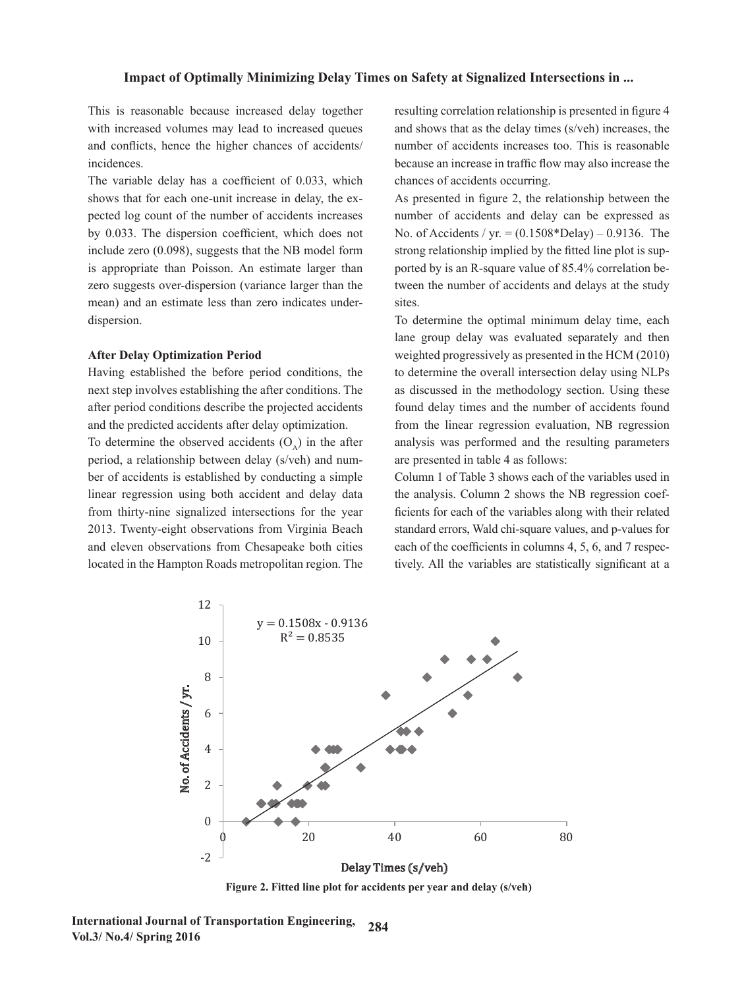This is reasonable because increased delay together with increased volumes may lead to increased queues and conflicts, hence the higher chances of accidents/ incidences.

The variable delay has a coefficient of 0.033, which shows that for each one-unit increase in delay, the expected log count of the number of accidents increases by 0.033. The dispersion coefficient, which does not No. of Accidents / yr. =  $(0.1508 * \text{Delay}) - 0.9136$ . The include zero (0.098), suggests that the NB model form strong relationship implied by the fitted line plot is supis appropriate than Poisson. An estimate larger than ported by is an R-square value of  $85.4\%$  correlation bezero suggests over-dispersion (variance larger than the tween the number of accidents and delays at the study mean) and an estimate less than zero indicates underdispersion.  $\frac{1}{2}$  include zero (0.050), suggests that the ND model form strong relationship implied by the inted line provision-

#### **After Delay Optimization Period**

 $\frac{1}{1}$  next step involves establishing the after conditions. The after period conditions describe the projected accidents and the predicted accidents after delay optimization.

period, a relationship between delay (s/veh) and number of accidents is established by conducting a simple linear regression using both accident and delay data the analysis. Column 2 shows the NB regression coeffrom thirty-nine signalized intersections for the year  $\frac{d}{dt}$  ficients for each of the variables along with their related 2013. Twenty-eight observations from Virginia Beach and electric variables along with their related 2013. Twenty-eight observations from Virginia Beach and eleven observations from Chesapeake both cities each of the coefficients in columns 4, 5, 6, and 7 respeclocated in the Hampton Roads metropolitan region. The tively. All the chances of access of access of access of access of access of access of access of access of access of access of access of access of access of access of a ccidents is established by conducting a simple Column 1 of Table 3 shows each of the variables used in zorb. Twenty-eight observations from virginia beach standard criots, wan em-square values, and p-values for

resulting correlation relationship is presented in figure 4 and shows that as the delay times (s/veh) increases, the number of accidents increases too. This is reasonable because an increase in traffic flow may also increase the chances of accidents occurring.

As presented in figure 2, the relationship between the og count of the number of accidents increases under of accidents and delay can be expressed as No. of Accidents / yr.  $= (0.1508 * \text{Delay}) - 0.9136$ . The strong relationship implied by the fitted line plot is supported by is an R-square value of 85.4% correlation between the number of accidents and delays at the study sites.

Having established the before period conditions, the to determine the overall intersection delay using NLPs To determine the observed accidents  $(O_A)$  in the after analysis was performed and the resulting parameters In determine the optimal minimum delay time, each onelane group delay was evaluated separately and then After Delay Optimization Period weighted progressively as presented in the HCM (2010) to determine the overall intersection delay using NLPs as discussed in the methodology section. Using these found delay times and the number of accidents found predicted accidents after delay optimization. From the linear regression evaluation, NB regression analysis was performed and the resulting parameters are presented in table 4 as follows:

> the analysis. Column 2 shows the NB regression coefficients for each of the variables along with their related standard errors, Wald chi-square values, and p-values for each of the coefficients in columns 4, 5, 6, and 7 respectively. All the variables are statistically significant at a



**Figure 2. Fitted line plot for accidents per year and delay (s/veh)**

**International Journal of Transportation Engineering, 284 Vol.3/ No.4/ Spring 2016**  $A_{\text{spin}}$  and  $B_{\text{spin}}$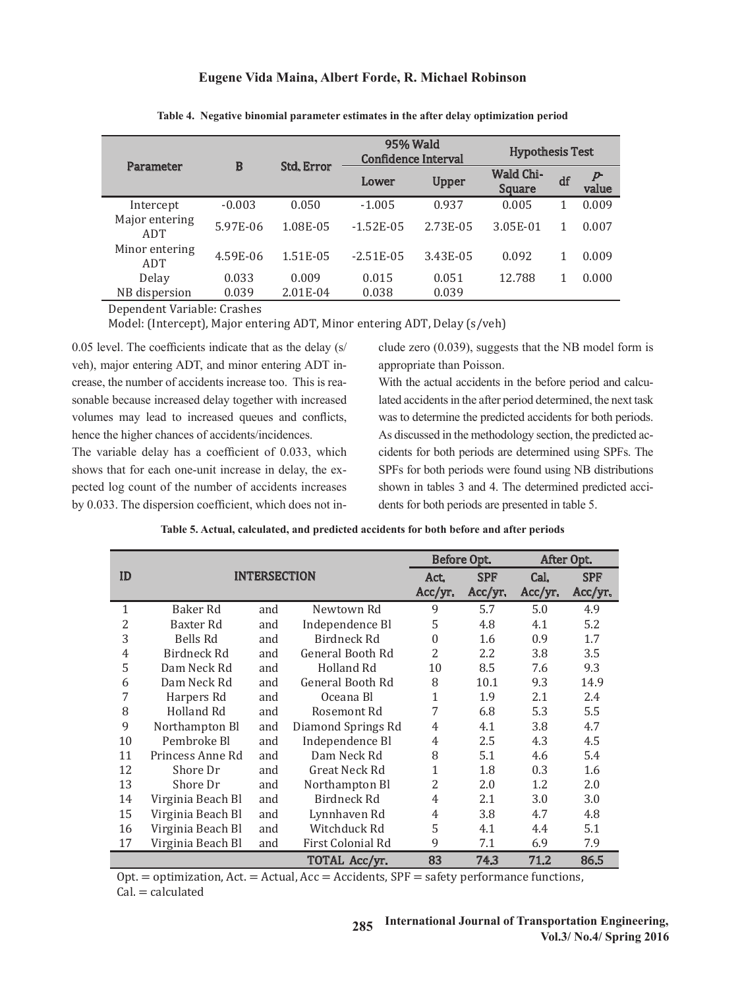# $\mathbf{F}_{\text{error}}$   $\mathbf{V}_{\text{min}}^{\text{max}}$  and  $\mathbf{M}_{\text{min}}^{\text{max}}$  and  $\mathbf{R}_{\text{max}}$  and  $\mathbf{D}_{\text{min}}$  and  $\mathbf{D}_{\text{min}}$ **Eugene Vida Maina, Albert Forde, R. Michael Robinson**

| Parameter             | B        | <b>Std. Error</b> | 95% Wald<br><b>Confidence Interval</b> | <b>Hypothesis Test</b> |                                   |    |            |
|-----------------------|----------|-------------------|----------------------------------------|------------------------|-----------------------------------|----|------------|
|                       |          | Lower             |                                        | <b>Upper</b>           | <b>Wald Chi-</b><br><b>Square</b> | df | P<br>value |
| Intercept             | $-0.003$ | 0.050             | $-1.005$                               | 0.937                  | 0.005                             |    | 0.009      |
| Major entering<br>ADT | 5.97E-06 | 1.08E-05          | $-1.52E-05$                            | 2.73E-05               | 3.05E-01                          |    | 0.007      |
| Minor entering<br>ADT | 4.59E-06 | 1.51E-05          | $-2.51E-0.5$                           | 3.43E-05               | 0.092                             |    | 0.009      |
| Delay                 | 0.033    | 0.009             | 0.015                                  | 0.051                  | 12.788                            |    | 0.000      |
| NB dispersion         | 0.039    | 2.01E-04          | 0.038                                  | 0.039                  |                                   |    |            |

Table 4. Negative binomial parameter estimates in the after delay optimization period **Table 4. Negative binomial parameter estimates in the after delay optimization period**

Dependent Variable: Crashes

Model: (Intercept), Major entering ADT, Minor entering ADT, Delay (s/veh)

0.05 level. The coefficients indicate that as the delay (s/ veh), major entering ADT, and minor entering ADT in-<br>appropriate than Poisson. crease, the number of accidents increase too. This is reasonable because increased delay together with increased lated accidents in the after period determined, the next task volumes may lead to increased queues and conflicts, was to determine the predicted accidents for both periods. hence the higher chances of accidents/incidences. crease, the number of accidents increase too. This is rea-<br>With the actual accidents in the before period and calcu-

The variable delay has a coefficient of 0.033, which shows that for each one-unit increase in delay, the expected log count of the number of accidents increases shown in tables 3 and 4. The determined by 0.033. The dispersion coefficient, which does not in-<br>dents for both periods are presented in table 5. shows that for each one-unit increase in uetay, the  $\alpha$ - $\beta$  is not both periods were found using typ distributions

el. The coefficients indicate that as the delay  $(s / \cdot \cdot \cdot)$  clude zero  $(0.039)$ , suggests that the NB model form is appropriate than Poisson.

lated accidents in the after period determined, the next task was to determine the predicted accidents for both periods. hence the higher chances of accidents/incidences. As discussed in the methodology section, the predicted accidents for both periods are determined using SPFs. The nat for each one-unit increase in delay, the ex-<br>SPFs for both periods were found using NB distributions shown in tables 3 and 4. The determined predicted accidents for both periods are presented in table 5.

| Table 5. Actual, calculated, and predicted accidents for both before and after periods |
|----------------------------------------------------------------------------------------|
|----------------------------------------------------------------------------------------|

|                |                   |                     |                    |                 | Before Opt.           |                 | After Opt.            |
|----------------|-------------------|---------------------|--------------------|-----------------|-----------------------|-----------------|-----------------------|
| ID             |                   | <b>INTERSECTION</b> |                    | Act.<br>Acc/yr. | <b>SPF</b><br>Acc/yr. | Cal.<br>Acc/yr. | <b>SPF</b><br>Acc/yr. |
| 1              | Baker Rd          | and                 | Newtown Rd         | 9               | 5.7                   | 5.0             | 4.9                   |
| $\overline{2}$ | Baxter Rd         | and                 | Independence Bl    | 5               | 4.8                   | 4.1             | 5.2                   |
| 3              | Bells Rd          | and                 | Birdneck Rd        | $\mathbf{0}$    | 1.6                   | 0.9             | 1.7                   |
| 4              | Birdneck Rd       | and                 | General Booth Rd   | 2               | 2.2                   | 3.8             | 3.5                   |
| 5              | Dam Neck Rd       | and                 | Holland Rd         | 10              | 8.5                   | 7.6             | 9.3                   |
| 6              | Dam Neck Rd       | and                 | General Booth Rd   | 8               | 10.1                  | 9.3             | 14.9                  |
| 7              | Harpers Rd        | and                 | Oceana Bl          | $\mathbf{1}$    | 1.9                   | 2.1             | 2.4                   |
| 8              | Holland Rd        | and                 | Rosemont Rd        | 7               | 6.8                   | 5.3             | 5.5                   |
| 9              | Northampton Bl    | and                 | Diamond Springs Rd | 4               | 4.1                   | 3.8             | 4.7                   |
| 10             | Pembroke Bl       | and                 | Independence Bl    | 4               | 2.5                   | 4.3             | 4.5                   |
| 11             | Princess Anne Rd  | and                 | Dam Neck Rd        | 8               | 5.1                   | 4.6             | 5.4                   |
| 12             | Shore Dr          | and                 | Great Neck Rd      | 1               | 1.8                   | 0.3             | 1.6                   |
| 13             | Shore Dr          | and                 | Northampton Bl     | 2               | 2.0                   | 1.2             | 2.0                   |
| 14             | Virginia Beach Bl | and                 | Birdneck Rd        | 4               | 2.1                   | 3.0             | 3.0                   |
| 15             | Virginia Beach Bl | and                 | Lynnhaven Rd       | 4               | 3.8                   | 4.7             | 4.8                   |
| 16             | Virginia Beach Bl | and                 | Witchduck Rd       | 5               | 4.1                   | 4.4             | 5.1                   |
| 17             | Virginia Beach Bl | and                 | First Colonial Rd  | 9               | 7.1                   | 6.9             | 7.9                   |
|                |                   |                     | TOTAL Acc/yr.      | 83              | 74.3                  | 71.2            | 86.5                  |

Opt. = optimization, Act. = Actual, Acc = Accidents, SPF = safety performance functions,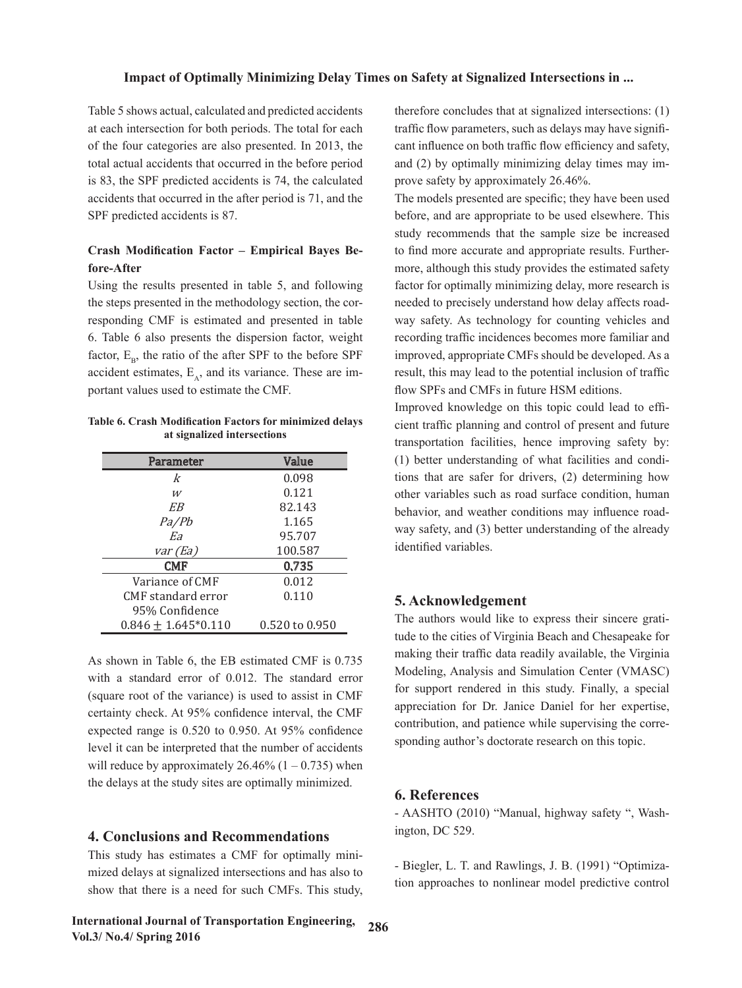Table 5 shows actual, calculated and predicted accidents at each intersection for both periods. The total for each of the four categories are also presented. In 2013, the total actual accidents that occurred in the before period is 83, the SPF predicted accidents is 74, the calculated accidents that occurred in the after period is 71, and the SPF predicted accidents is 87.

# **Crash Modification Factor – Empirical Bayes Before-After**

Using the results presented in table 5, and following the steps presented in the methodology section, the corresponding CMF is estimated and presented in table 6. Table 6 also presents the dispersion factor, weight factor,  $E_B$ , the ratio of the after SPF to the before SPF accident estimates,  $E_A$ , and its variance. These are important values used to estimate the CMF.

| Table 6. Crash Modification Factors for minimized delays | cient traffic         |
|----------------------------------------------------------|-----------------------|
| at signalized intersections                              | $t$ was associated as |

| Parameter               | Value              |
|-------------------------|--------------------|
| k                       | 0.098              |
| W                       | 0.121              |
| EB                      | 82.143             |
| Pa/Pb                   | 1.165              |
| Eа                      | 95.707             |
| var (Ea)                | 100.587            |
| <b>CMF</b>              | 0.735              |
| Variance of CMF         | 0.012              |
| CMF standard error      | 0.110              |
| 95% Confidence          |                    |
| $0.846 \pm 1.645*0.110$ | $0.520$ to $0.950$ |

As shown in Table 6, the EB estimated CMF is  $0.735$  making their traffic data with a standard error of 0.012. The standard error  $\frac{M}{2}$  Modeling, Analysis and (square root of the variance) is used to assist in CMF  $\qquad \qquad$  for support rendered in certainty check. At 95% confidence interval, the CMF appreciation for Dr. Jan **4. Level II** can be interpreted that will reduce by approximately  $26.46\%$  (1 – 0.735) when the delays at the study sites are optimally minimized.  $\boldsymbol{\epsilon}$  **D** of organizations of expected range is 0.520 to 0.950. At 95% confidence level it can be interpreted that the number of accidents

#### **4. Conclusions and Recommendations**

This study has estimates a CMF for optimally minimized delays at signalized intersections and has also to **have been** be increased to the same more and appropriate and appropriate and appropriate and appropriate and appropriate and appropriate and appropriate and  $\frac{1}{2$  $\frac{1}{2}$  results. Furthermore, although the estimated same provides the estimated same provides to nonling show that there is a need for such CMFs. This study, which approaches to nonline

International Journal of Transportation Engineering, 286 vol.3/ No.4/ Spring 2016  $\sqrt{0.60}$ 

therefore concludes that at signalized intersections: (1) traffic flow parameters, such as delays may have significant influence on both traffic flow efficiency and safety, and (2) by optimally minimizing delay times may improve safety by approximately 26.46%.

The models presented are specific; they have been used before, and are appropriate to be used elsewhere. This study recommends that the sample size be increased to find more accurate and appropriate results. Furthermore, although this study provides the estimated safety factor for optimally minimizing delay, more research is needed to precisely understand how delay affects roadway safety. As technology for counting vehicles and recording traffic incidences becomes more familiar and improved, appropriate CMFs should be developed. As a result, this may lead to the potential inclusion of traffic flow SPFs and CMFs in future HSM editions.

Improved knowledge on this topic could lead to efficient traffic planning and control of present and future transportation facilities, hence improving safety by: (1) better understanding of what facilities and conditions that are safer for drivers, (2) determining how other variables such as road surface condition, human behavior, and weather conditions may influence roadway safety, and (3) better understanding of the already identified variables.

### **5. Acknowledgement**

The authors would like to express their sincere gratitude to the cities of Virginia Beach and Chesapeake for making their traffic data readily available, the Virginia Modeling, Analysis and Simulation Center (VMASC) for support rendered in this study. Finally, a special appreciation for Dr. Janice Daniel for her expertise, contribution, and patience while supervising the corresponding author's doctorate research on this topic.

#### $\mathbf{v_i}$  intersections:  $\mathbf{v_i}$  intersections:  $\mathbf{v_i}$  as delays may have significant influence on both traffic flow  $\mathbf{v_i}$  and  $\mathbf{v_i}$  flow the significant influence on both traffic flow  $\mathbf{v_i}$  and  $\mathbf{v_i}$ **6. References**

 $\text{F}$ efficiency and safety, and  $\text{F}$  and  $\text{F}$  approximately by approximately by approximately by approximately by approximately by approximately by approximately by approximately by approximately by approximately - AASHTO (2010) "Manual, highway safety ", Washington, DC 529.

> - Biegler, L. T. and Rawlings, J. B. (1991) "Optimization approaches to nonlinear model predictive control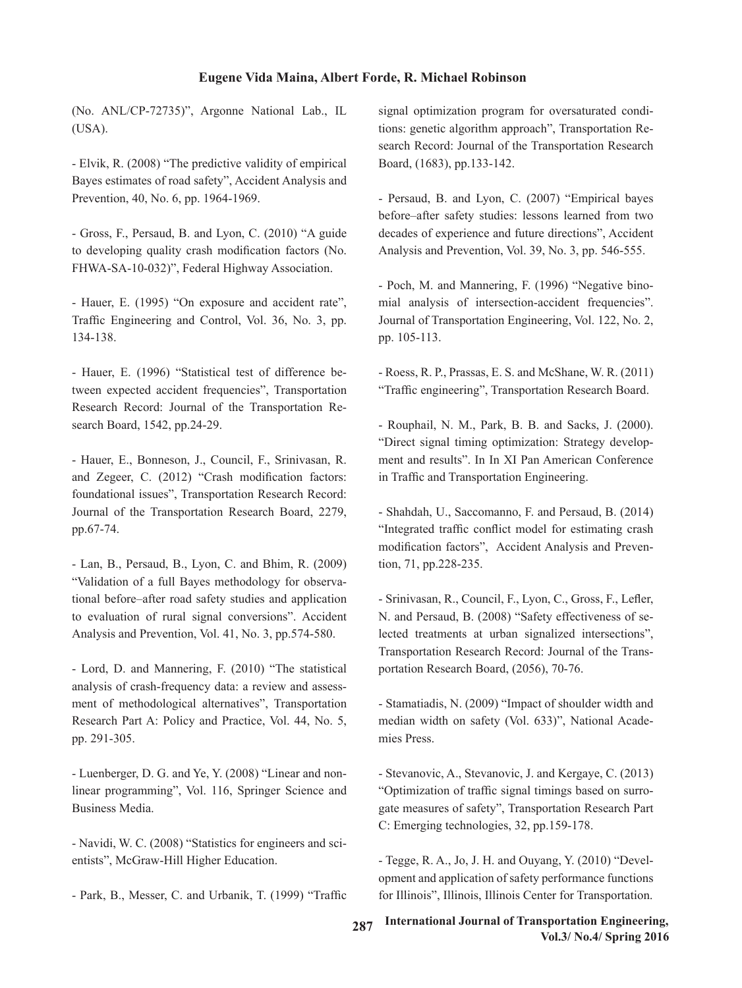### **Eugene Vida Maina, Albert Forde, R. Michael Robinson**

(No. ANL/CP-72735)", Argonne National Lab., IL  $(USA)$ .

- Elvik, R. (2008) "The predictive validity of empirical Bayes estimates of road safety", Accident Analysis and Prevention, 40, No. 6, pp. 1964-1969.

- Gross, F., Persaud, B. and Lyon, C. (2010) "A guide to developing quality crash modification factors (No. FHWA-SA-10-032)", Federal Highway Association.

- Hauer, E. (1995) "On exposure and accident rate", Traffic Engineering and Control, Vol. 36, No. 3, pp. 134-138.

- Hauer, E. (1996) "Statistical test of difference between expected accident frequencies", Transportation Research Record: Journal of the Transportation Research Board, 1542, pp.24-29.

- Hauer, E., Bonneson, J., Council, F., Srinivasan, R. and Zegeer, C. (2012) "Crash modification factors: foundational issues", Transportation Research Record: Journal of the Transportation Research Board, 2279, pp.67-74.

- Lan, B., Persaud, B., Lyon, C. and Bhim, R. (2009) "Validation of a full Bayes methodology for observational before–after road safety studies and application to evaluation of rural signal conversions". Accident Analysis and Prevention, Vol. 41, No. 3, pp.574-580.

- Lord, D. and Mannering, F. (2010) "The statistical analysis of crash-frequency data: a review and assessment of methodological alternatives", Transportation Research Part A: Policy and Practice, Vol. 44, No. 5, pp. 291-305.

- Luenberger, D. G. and Ye, Y. (2008) "Linear and nonlinear programming", Vol. 116, Springer Science and Business Media.

- Navidi, W. C. (2008) "Statistics for engineers and scientists", McGraw-Hill Higher Education.

- Park, B., Messer, C. and Urbanik, T. (1999) "Traffic

signal optimization program for oversaturated conditions: genetic algorithm approach", Transportation Research Record: Journal of the Transportation Research Board, (1683), pp.133-142.

- Persaud, B. and Lyon, C. (2007) "Empirical bayes before–after safety studies: lessons learned from two decades of experience and future directions", Accident Analysis and Prevention, Vol. 39, No. 3, pp. 546-555.

- Poch, M. and Mannering, F. (1996) "Negative binomial analysis of intersection-accident frequencies". Journal of Transportation Engineering, Vol. 122, No. 2, pp. 105-113.

- Roess, R. P., Prassas, E. S. and McShane, W. R. (2011) "Traffic engineering", Transportation Research Board.

- Rouphail, N. M., Park, B. B. and Sacks, J. (2000). "Direct signal timing optimization: Strategy development and results". In In XI Pan American Conference in Traffic and Transportation Engineering.

- Shahdah, U., Saccomanno, F. and Persaud, B. (2014) "Integrated traffic conflict model for estimating crash modification factors", Accident Analysis and Prevention, 71, pp.228-235.

- Srinivasan, R., Council, F., Lyon, C., Gross, F., Lefler, N. and Persaud, B. (2008) "Safety effectiveness of selected treatments at urban signalized intersections", Transportation Research Record: Journal of the Transportation Research Board, (2056), 70-76.

- Stamatiadis, N. (2009) "Impact of shoulder width and median width on safety (Vol. 633)", National Academies Press.

- Stevanovic, A., Stevanovic, J. and Kergaye, C. (2013) "Optimization of traffic signal timings based on surrogate measures of safety", Transportation Research Part C: Emerging technologies, 32, pp.159-178.

- Tegge, R. A., Jo, J. H. and Ouyang, Y. (2010) "Development and application of safety performance functions for Illinois", Illinois, Illinois Center for Transportation.